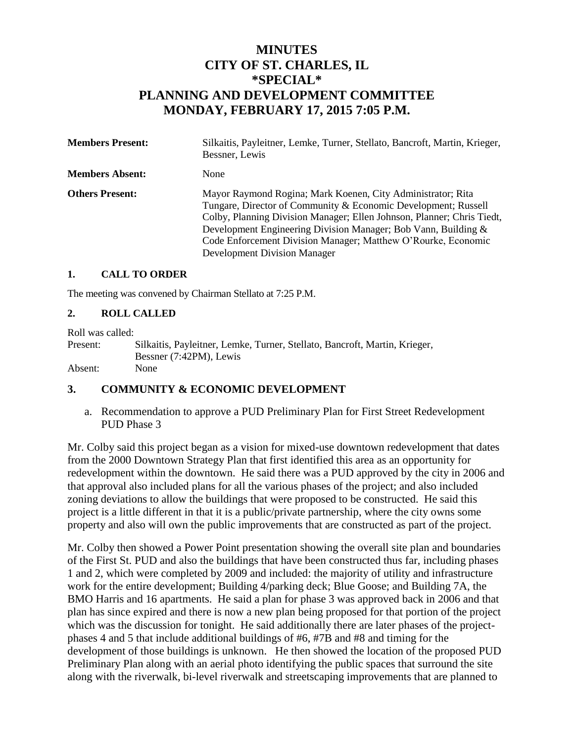# **MINUTES CITY OF ST. CHARLES, IL \*SPECIAL\* PLANNING AND DEVELOPMENT COMMITTEE MONDAY, FEBRUARY 17, 2015 7:05 P.M.**

| <b>Members Present:</b> | Silkaitis, Payleitner, Lemke, Turner, Stellato, Bancroft, Martin, Krieger,<br>Bessner, Lewis                                                                                                                                                                                                                                                                                      |
|-------------------------|-----------------------------------------------------------------------------------------------------------------------------------------------------------------------------------------------------------------------------------------------------------------------------------------------------------------------------------------------------------------------------------|
| <b>Members Absent:</b>  | None                                                                                                                                                                                                                                                                                                                                                                              |
| <b>Others Present:</b>  | Mayor Raymond Rogina; Mark Koenen, City Administrator; Rita<br>Tungare, Director of Community & Economic Development; Russell<br>Colby, Planning Division Manager; Ellen Johnson, Planner; Chris Tiedt,<br>Development Engineering Division Manager; Bob Vann, Building &<br>Code Enforcement Division Manager; Matthew O'Rourke, Economic<br><b>Development Division Manager</b> |

### **1. CALL TO ORDER**

The meeting was convened by Chairman Stellato at 7:25 P.M.

#### **2. ROLL CALLED**

Roll was called: Present: Silkaitis, Payleitner, Lemke, Turner, Stellato, Bancroft, Martin, Krieger, Bessner (7:42PM), Lewis Absent: None

## **3. COMMUNITY & ECONOMIC DEVELOPMENT**

a. Recommendation to approve a PUD Preliminary Plan for First Street Redevelopment PUD Phase 3

Mr. Colby said this project began as a vision for mixed-use downtown redevelopment that dates from the 2000 Downtown Strategy Plan that first identified this area as an opportunity for redevelopment within the downtown. He said there was a PUD approved by the city in 2006 and that approval also included plans for all the various phases of the project; and also included zoning deviations to allow the buildings that were proposed to be constructed. He said this project is a little different in that it is a public/private partnership, where the city owns some property and also will own the public improvements that are constructed as part of the project.

Mr. Colby then showed a Power Point presentation showing the overall site plan and boundaries of the First St. PUD and also the buildings that have been constructed thus far, including phases 1 and 2, which were completed by 2009 and included: the majority of utility and infrastructure work for the entire development; Building 4/parking deck; Blue Goose; and Building 7A, the BMO Harris and 16 apartments. He said a plan for phase 3 was approved back in 2006 and that plan has since expired and there is now a new plan being proposed for that portion of the project which was the discussion for tonight. He said additionally there are later phases of the projectphases 4 and 5 that include additional buildings of #6, #7B and #8 and timing for the development of those buildings is unknown. He then showed the location of the proposed PUD Preliminary Plan along with an aerial photo identifying the public spaces that surround the site along with the riverwalk, bi-level riverwalk and streetscaping improvements that are planned to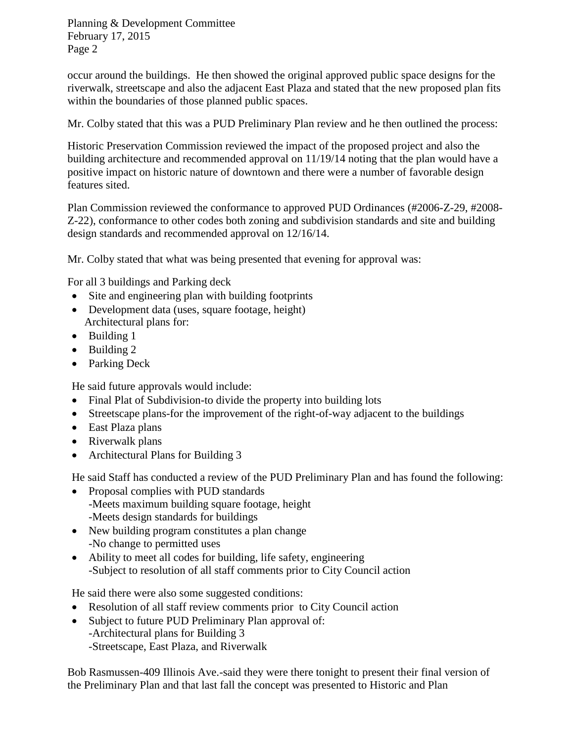occur around the buildings. He then showed the original approved public space designs for the riverwalk, streetscape and also the adjacent East Plaza and stated that the new proposed plan fits within the boundaries of those planned public spaces.

Mr. Colby stated that this was a PUD Preliminary Plan review and he then outlined the process:

Historic Preservation Commission reviewed the impact of the proposed project and also the building architecture and recommended approval on 11/19/14 noting that the plan would have a positive impact on historic nature of downtown and there were a number of favorable design features sited.

Plan Commission reviewed the conformance to approved PUD Ordinances (#2006-Z-29, #2008- Z-22), conformance to other codes both zoning and subdivision standards and site and building design standards and recommended approval on 12/16/14.

Mr. Colby stated that what was being presented that evening for approval was:

For all 3 buildings and Parking deck

- Site and engineering plan with building footprints
- Development data (uses, square footage, height) Architectural plans for:
- Building 1
- $\bullet$  Building 2
- Parking Deck

He said future approvals would include:

- Final Plat of Subdivision-to divide the property into building lots
- Streetscape plans-for the improvement of the right-of-way adjacent to the buildings
- East Plaza plans
- Riverwalk plans
- Architectural Plans for Building 3

He said Staff has conducted a review of the PUD Preliminary Plan and has found the following:

- Proposal complies with PUD standards -Meets maximum building square footage, height -Meets design standards for buildings
- New building program constitutes a plan change -No change to permitted uses
- Ability to meet all codes for building, life safety, engineering -Subject to resolution of all staff comments prior to City Council action

He said there were also some suggested conditions:

- Resolution of all staff review comments prior to City Council action
- Subject to future PUD Preliminary Plan approval of: -Architectural plans for Building 3 -Streetscape, East Plaza, and Riverwalk

Bob Rasmussen-409 Illinois Ave.-said they were there tonight to present their final version of the Preliminary Plan and that last fall the concept was presented to Historic and Plan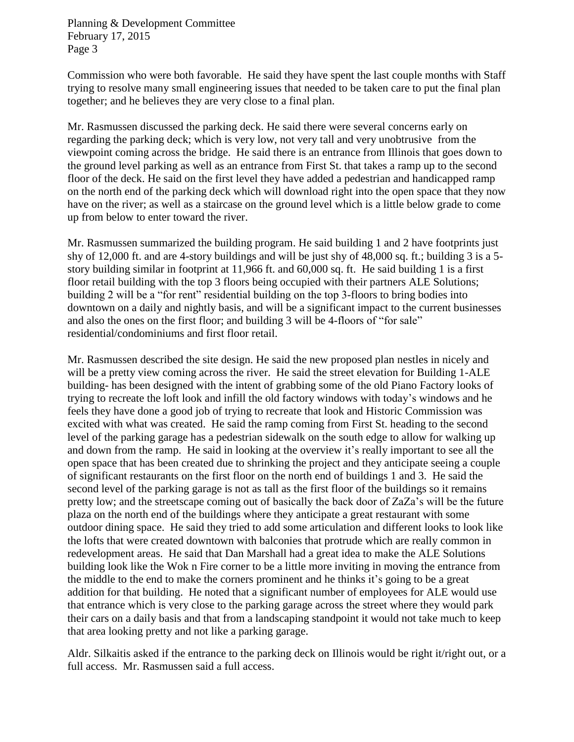Commission who were both favorable. He said they have spent the last couple months with Staff trying to resolve many small engineering issues that needed to be taken care to put the final plan together; and he believes they are very close to a final plan.

Mr. Rasmussen discussed the parking deck. He said there were several concerns early on regarding the parking deck; which is very low, not very tall and very unobtrusive from the viewpoint coming across the bridge. He said there is an entrance from Illinois that goes down to the ground level parking as well as an entrance from First St. that takes a ramp up to the second floor of the deck. He said on the first level they have added a pedestrian and handicapped ramp on the north end of the parking deck which will download right into the open space that they now have on the river; as well as a staircase on the ground level which is a little below grade to come up from below to enter toward the river.

Mr. Rasmussen summarized the building program. He said building 1 and 2 have footprints just shy of 12,000 ft. and are 4-story buildings and will be just shy of 48,000 sq. ft.; building 3 is a 5 story building similar in footprint at 11,966 ft. and 60,000 sq. ft. He said building 1 is a first floor retail building with the top 3 floors being occupied with their partners ALE Solutions; building 2 will be a "for rent" residential building on the top 3-floors to bring bodies into downtown on a daily and nightly basis, and will be a significant impact to the current businesses and also the ones on the first floor; and building 3 will be 4-floors of "for sale" residential/condominiums and first floor retail.

Mr. Rasmussen described the site design. He said the new proposed plan nestles in nicely and will be a pretty view coming across the river. He said the street elevation for Building 1-ALE building- has been designed with the intent of grabbing some of the old Piano Factory looks of trying to recreate the loft look and infill the old factory windows with today's windows and he feels they have done a good job of trying to recreate that look and Historic Commission was excited with what was created. He said the ramp coming from First St. heading to the second level of the parking garage has a pedestrian sidewalk on the south edge to allow for walking up and down from the ramp. He said in looking at the overview it's really important to see all the open space that has been created due to shrinking the project and they anticipate seeing a couple of significant restaurants on the first floor on the north end of buildings 1 and 3. He said the second level of the parking garage is not as tall as the first floor of the buildings so it remains pretty low; and the streetscape coming out of basically the back door of ZaZa's will be the future plaza on the north end of the buildings where they anticipate a great restaurant with some outdoor dining space. He said they tried to add some articulation and different looks to look like the lofts that were created downtown with balconies that protrude which are really common in redevelopment areas. He said that Dan Marshall had a great idea to make the ALE Solutions building look like the Wok n Fire corner to be a little more inviting in moving the entrance from the middle to the end to make the corners prominent and he thinks it's going to be a great addition for that building. He noted that a significant number of employees for ALE would use that entrance which is very close to the parking garage across the street where they would park their cars on a daily basis and that from a landscaping standpoint it would not take much to keep that area looking pretty and not like a parking garage.

Aldr. Silkaitis asked if the entrance to the parking deck on Illinois would be right it/right out, or a full access. Mr. Rasmussen said a full access.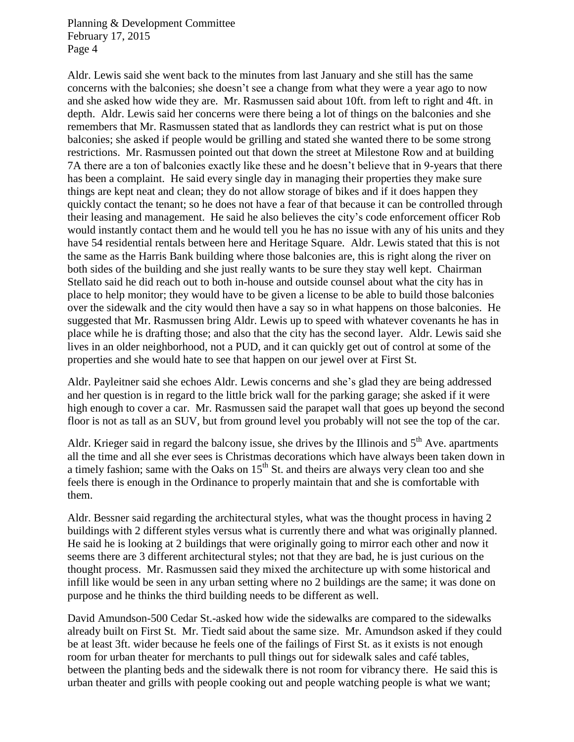Aldr. Lewis said she went back to the minutes from last January and she still has the same concerns with the balconies; she doesn't see a change from what they were a year ago to now and she asked how wide they are. Mr. Rasmussen said about 10ft. from left to right and 4ft. in depth. Aldr. Lewis said her concerns were there being a lot of things on the balconies and she remembers that Mr. Rasmussen stated that as landlords they can restrict what is put on those balconies; she asked if people would be grilling and stated she wanted there to be some strong restrictions. Mr. Rasmussen pointed out that down the street at Milestone Row and at building 7A there are a ton of balconies exactly like these and he doesn't believe that in 9-years that there has been a complaint. He said every single day in managing their properties they make sure things are kept neat and clean; they do not allow storage of bikes and if it does happen they quickly contact the tenant; so he does not have a fear of that because it can be controlled through their leasing and management. He said he also believes the city's code enforcement officer Rob would instantly contact them and he would tell you he has no issue with any of his units and they have 54 residential rentals between here and Heritage Square. Aldr. Lewis stated that this is not the same as the Harris Bank building where those balconies are, this is right along the river on both sides of the building and she just really wants to be sure they stay well kept. Chairman Stellato said he did reach out to both in-house and outside counsel about what the city has in place to help monitor; they would have to be given a license to be able to build those balconies over the sidewalk and the city would then have a say so in what happens on those balconies. He suggested that Mr. Rasmussen bring Aldr. Lewis up to speed with whatever covenants he has in place while he is drafting those; and also that the city has the second layer. Aldr. Lewis said she lives in an older neighborhood, not a PUD, and it can quickly get out of control at some of the properties and she would hate to see that happen on our jewel over at First St.

Aldr. Payleitner said she echoes Aldr. Lewis concerns and she's glad they are being addressed and her question is in regard to the little brick wall for the parking garage; she asked if it were high enough to cover a car. Mr. Rasmussen said the parapet wall that goes up beyond the second floor is not as tall as an SUV, but from ground level you probably will not see the top of the car.

Aldr. Krieger said in regard the balcony issue, she drives by the Illinois and  $5<sup>th</sup>$  Ave. apartments all the time and all she ever sees is Christmas decorations which have always been taken down in a timely fashion; same with the Oaks on  $15<sup>th</sup>$  St. and theirs are always very clean too and she feels there is enough in the Ordinance to properly maintain that and she is comfortable with them.

Aldr. Bessner said regarding the architectural styles, what was the thought process in having 2 buildings with 2 different styles versus what is currently there and what was originally planned. He said he is looking at 2 buildings that were originally going to mirror each other and now it seems there are 3 different architectural styles; not that they are bad, he is just curious on the thought process. Mr. Rasmussen said they mixed the architecture up with some historical and infill like would be seen in any urban setting where no 2 buildings are the same; it was done on purpose and he thinks the third building needs to be different as well.

David Amundson-500 Cedar St.-asked how wide the sidewalks are compared to the sidewalks already built on First St. Mr. Tiedt said about the same size. Mr. Amundson asked if they could be at least 3ft. wider because he feels one of the failings of First St. as it exists is not enough room for urban theater for merchants to pull things out for sidewalk sales and café tables, between the planting beds and the sidewalk there is not room for vibrancy there. He said this is urban theater and grills with people cooking out and people watching people is what we want;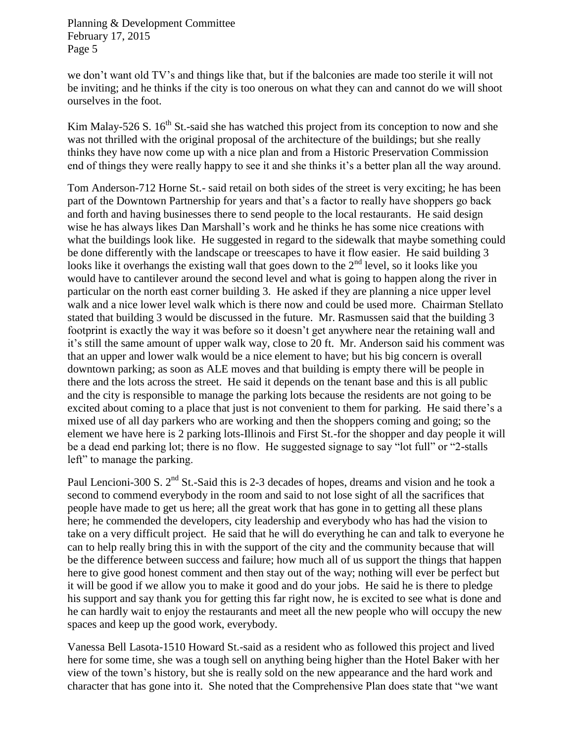we don't want old TV's and things like that, but if the balconies are made too sterile it will not be inviting; and he thinks if the city is too onerous on what they can and cannot do we will shoot ourselves in the foot.

Kim Malay-526 S.  $16<sup>th</sup>$  St.-said she has watched this project from its conception to now and she was not thrilled with the original proposal of the architecture of the buildings; but she really thinks they have now come up with a nice plan and from a Historic Preservation Commission end of things they were really happy to see it and she thinks it's a better plan all the way around.

Tom Anderson-712 Horne St.- said retail on both sides of the street is very exciting; he has been part of the Downtown Partnership for years and that's a factor to really have shoppers go back and forth and having businesses there to send people to the local restaurants. He said design wise he has always likes Dan Marshall's work and he thinks he has some nice creations with what the buildings look like. He suggested in regard to the sidewalk that maybe something could be done differently with the landscape or treescapes to have it flow easier. He said building 3 looks like it overhangs the existing wall that goes down to the  $2<sup>nd</sup>$  level, so it looks like you would have to cantilever around the second level and what is going to happen along the river in particular on the north east corner building 3. He asked if they are planning a nice upper level walk and a nice lower level walk which is there now and could be used more. Chairman Stellato stated that building 3 would be discussed in the future. Mr. Rasmussen said that the building 3 footprint is exactly the way it was before so it doesn't get anywhere near the retaining wall and it's still the same amount of upper walk way, close to 20 ft. Mr. Anderson said his comment was that an upper and lower walk would be a nice element to have; but his big concern is overall downtown parking; as soon as ALE moves and that building is empty there will be people in there and the lots across the street. He said it depends on the tenant base and this is all public and the city is responsible to manage the parking lots because the residents are not going to be excited about coming to a place that just is not convenient to them for parking. He said there's a mixed use of all day parkers who are working and then the shoppers coming and going; so the element we have here is 2 parking lots-Illinois and First St.-for the shopper and day people it will be a dead end parking lot; there is no flow. He suggested signage to say "lot full" or "2-stalls left" to manage the parking.

Paul Lencioni-300 S. 2<sup>nd</sup> St.-Said this is 2-3 decades of hopes, dreams and vision and he took a second to commend everybody in the room and said to not lose sight of all the sacrifices that people have made to get us here; all the great work that has gone in to getting all these plans here; he commended the developers, city leadership and everybody who has had the vision to take on a very difficult project. He said that he will do everything he can and talk to everyone he can to help really bring this in with the support of the city and the community because that will be the difference between success and failure; how much all of us support the things that happen here to give good honest comment and then stay out of the way; nothing will ever be perfect but it will be good if we allow you to make it good and do your jobs. He said he is there to pledge his support and say thank you for getting this far right now, he is excited to see what is done and he can hardly wait to enjoy the restaurants and meet all the new people who will occupy the new spaces and keep up the good work, everybody.

Vanessa Bell Lasota-1510 Howard St.-said as a resident who as followed this project and lived here for some time, she was a tough sell on anything being higher than the Hotel Baker with her view of the town's history, but she is really sold on the new appearance and the hard work and character that has gone into it. She noted that the Comprehensive Plan does state that "we want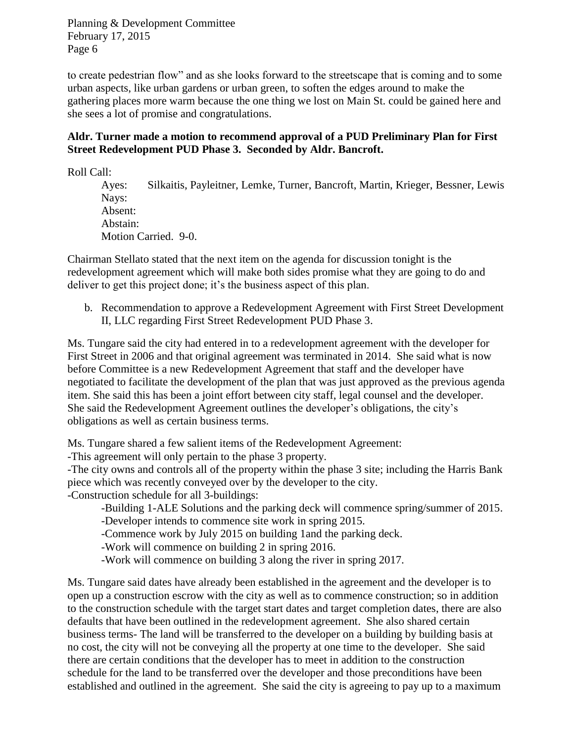to create pedestrian flow" and as she looks forward to the streetscape that is coming and to some urban aspects, like urban gardens or urban green, to soften the edges around to make the gathering places more warm because the one thing we lost on Main St. could be gained here and she sees a lot of promise and congratulations.

# **Aldr. Turner made a motion to recommend approval of a PUD Preliminary Plan for First Street Redevelopment PUD Phase 3. Seconded by Aldr. Bancroft.**

Roll Call:

Ayes: Silkaitis, Payleitner, Lemke, Turner, Bancroft, Martin, Krieger, Bessner, Lewis Nays: Absent: Abstain: Motion Carried. 9-0.

Chairman Stellato stated that the next item on the agenda for discussion tonight is the redevelopment agreement which will make both sides promise what they are going to do and deliver to get this project done; it's the business aspect of this plan.

b. Recommendation to approve a Redevelopment Agreement with First Street Development II, LLC regarding First Street Redevelopment PUD Phase 3.

Ms. Tungare said the city had entered in to a redevelopment agreement with the developer for First Street in 2006 and that original agreement was terminated in 2014. She said what is now before Committee is a new Redevelopment Agreement that staff and the developer have negotiated to facilitate the development of the plan that was just approved as the previous agenda item. She said this has been a joint effort between city staff, legal counsel and the developer. She said the Redevelopment Agreement outlines the developer's obligations, the city's obligations as well as certain business terms.

Ms. Tungare shared a few salient items of the Redevelopment Agreement:

-This agreement will only pertain to the phase 3 property.

-The city owns and controls all of the property within the phase 3 site; including the Harris Bank piece which was recently conveyed over by the developer to the city. -Construction schedule for all 3-buildings:

-Building 1-ALE Solutions and the parking deck will commence spring/summer of 2015.

-Developer intends to commence site work in spring 2015.

-Commence work by July 2015 on building 1and the parking deck.

-Work will commence on building 2 in spring 2016.

-Work will commence on building 3 along the river in spring 2017.

Ms. Tungare said dates have already been established in the agreement and the developer is to open up a construction escrow with the city as well as to commence construction; so in addition to the construction schedule with the target start dates and target completion dates, there are also defaults that have been outlined in the redevelopment agreement. She also shared certain business terms- The land will be transferred to the developer on a building by building basis at no cost, the city will not be conveying all the property at one time to the developer. She said there are certain conditions that the developer has to meet in addition to the construction schedule for the land to be transferred over the developer and those preconditions have been established and outlined in the agreement. She said the city is agreeing to pay up to a maximum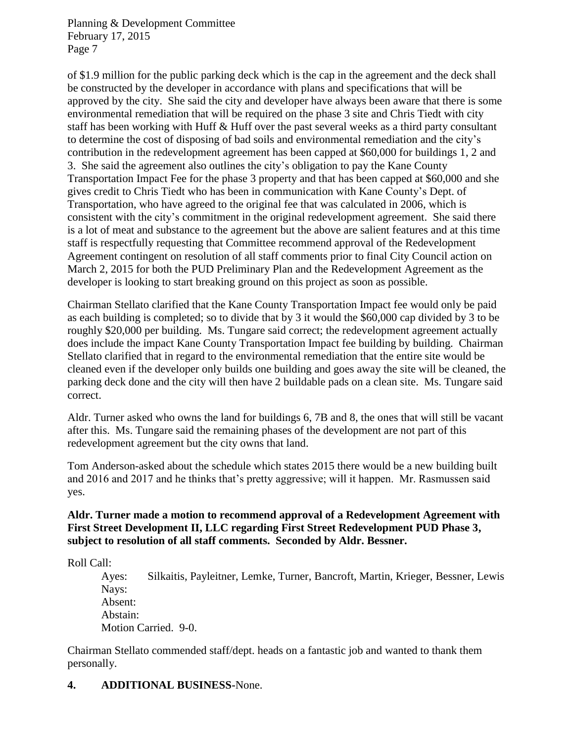of \$1.9 million for the public parking deck which is the cap in the agreement and the deck shall be constructed by the developer in accordance with plans and specifications that will be approved by the city. She said the city and developer have always been aware that there is some environmental remediation that will be required on the phase 3 site and Chris Tiedt with city staff has been working with Huff & Huff over the past several weeks as a third party consultant to determine the cost of disposing of bad soils and environmental remediation and the city's contribution in the redevelopment agreement has been capped at \$60,000 for buildings 1, 2 and 3. She said the agreement also outlines the city's obligation to pay the Kane County Transportation Impact Fee for the phase 3 property and that has been capped at \$60,000 and she gives credit to Chris Tiedt who has been in communication with Kane County's Dept. of Transportation, who have agreed to the original fee that was calculated in 2006, which is consistent with the city's commitment in the original redevelopment agreement. She said there is a lot of meat and substance to the agreement but the above are salient features and at this time staff is respectfully requesting that Committee recommend approval of the Redevelopment Agreement contingent on resolution of all staff comments prior to final City Council action on March 2, 2015 for both the PUD Preliminary Plan and the Redevelopment Agreement as the developer is looking to start breaking ground on this project as soon as possible.

Chairman Stellato clarified that the Kane County Transportation Impact fee would only be paid as each building is completed; so to divide that by 3 it would the \$60,000 cap divided by 3 to be roughly \$20,000 per building. Ms. Tungare said correct; the redevelopment agreement actually does include the impact Kane County Transportation Impact fee building by building. Chairman Stellato clarified that in regard to the environmental remediation that the entire site would be cleaned even if the developer only builds one building and goes away the site will be cleaned, the parking deck done and the city will then have 2 buildable pads on a clean site. Ms. Tungare said correct.

Aldr. Turner asked who owns the land for buildings 6, 7B and 8, the ones that will still be vacant after this. Ms. Tungare said the remaining phases of the development are not part of this redevelopment agreement but the city owns that land.

Tom Anderson-asked about the schedule which states 2015 there would be a new building built and 2016 and 2017 and he thinks that's pretty aggressive; will it happen. Mr. Rasmussen said yes.

# **Aldr. Turner made a motion to recommend approval of a Redevelopment Agreement with First Street Development II, LLC regarding First Street Redevelopment PUD Phase 3, subject to resolution of all staff comments. Seconded by Aldr. Bessner.**

Roll Call:

Ayes: Silkaitis, Payleitner, Lemke, Turner, Bancroft, Martin, Krieger, Bessner, Lewis Nays: Absent: Abstain: Motion Carried. 9-0.

Chairman Stellato commended staff/dept. heads on a fantastic job and wanted to thank them personally.

# **4. ADDITIONAL BUSINESS-**None.